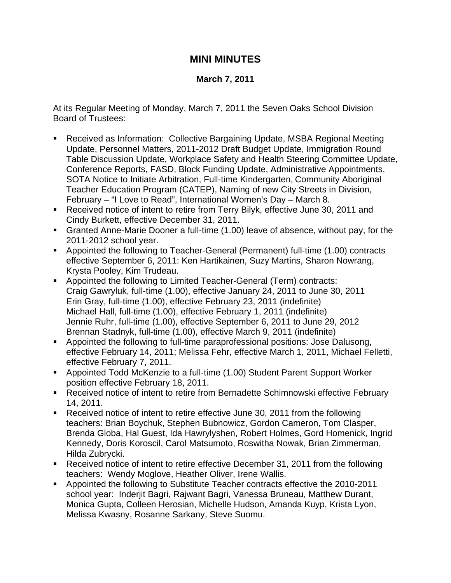## **MINI MINUTES**

## **March 7, 2011**

At its Regular Meeting of Monday, March 7, 2011 the Seven Oaks School Division Board of Trustees:

- Received as Information: Collective Bargaining Update, MSBA Regional Meeting Update, Personnel Matters, 2011-2012 Draft Budget Update, Immigration Round Table Discussion Update, Workplace Safety and Health Steering Committee Update, Conference Reports, FASD, Block Funding Update, Administrative Appointments, SOTA Notice to Initiate Arbitration, Full-time Kindergarten, Community Aboriginal Teacher Education Program (CATEP), Naming of new City Streets in Division, February – "I Love to Read", International Women's Day – March 8.
- Received notice of intent to retire from Terry Bilyk, effective June 30, 2011 and Cindy Burkett, effective December 31, 2011.
- Granted Anne-Marie Dooner a full-time (1.00) leave of absence, without pay, for the 2011-2012 school year.
- Appointed the following to Teacher-General (Permanent) full-time (1.00) contracts effective September 6, 2011: Ken Hartikainen, Suzy Martins, Sharon Nowrang, Krysta Pooley, Kim Trudeau.
- Appointed the following to Limited Teacher-General (Term) contracts: Craig Gawryluk, full-time (1.00), effective January 24, 2011 to June 30, 2011 Erin Gray, full-time (1.00), effective February 23, 2011 (indefinite) Michael Hall, full-time (1.00), effective February 1, 2011 (indefinite) Jennie Ruhr, full-time (1.00), effective September 6, 2011 to June 29, 2012 Brennan Stadnyk, full-time (1.00), effective March 9, 2011 (indefinite)
- Appointed the following to full-time paraprofessional positions: Jose Dalusong, effective February 14, 2011; Melissa Fehr, effective March 1, 2011, Michael Felletti, effective February 7, 2011.
- Appointed Todd McKenzie to a full-time (1.00) Student Parent Support Worker position effective February 18, 2011.
- Received notice of intent to retire from Bernadette Schimnowski effective February 14, 2011.
- Received notice of intent to retire effective June 30, 2011 from the following teachers: Brian Boychuk, Stephen Bubnowicz, Gordon Cameron, Tom Clasper, Brenda Globa, Hal Guest, Ida Hawrylyshen, Robert Holmes, Gord Homenick, Ingrid Kennedy, Doris Koroscil, Carol Matsumoto, Roswitha Nowak, Brian Zimmerman, Hilda Zubrycki.
- Received notice of intent to retire effective December 31, 2011 from the following teachers: Wendy Moglove, Heather Oliver, Irene Wallis.
- **Appointed the following to Substitute Teacher contracts effective the 2010-2011** school year: Inderjit Bagri, Rajwant Bagri, Vanessa Bruneau, Matthew Durant, Monica Gupta, Colleen Herosian, Michelle Hudson, Amanda Kuyp, Krista Lyon, Melissa Kwasny, Rosanne Sarkany, Steve Suomu.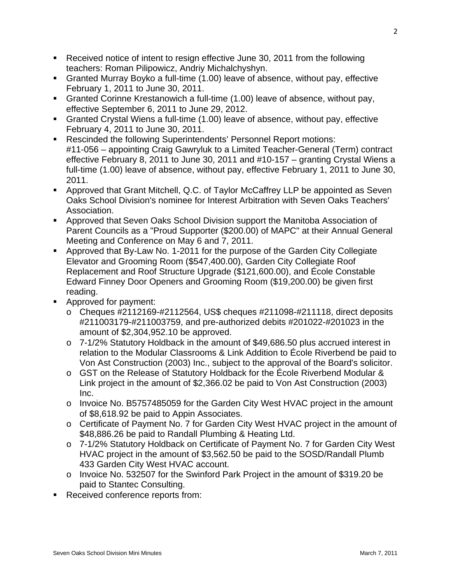- Received notice of intent to resign effective June 30, 2011 from the following teachers: Roman Pilipowicz, Andriy Michalchyshyn.
- Granted Murray Boyko a full-time (1.00) leave of absence, without pay, effective February 1, 2011 to June 30, 2011.
- Granted Corinne Krestanowich a full-time (1.00) leave of absence, without pay, effective September 6, 2011 to June 29, 2012.
- Granted Crystal Wiens a full-time (1.00) leave of absence, without pay, effective February 4, 2011 to June 30, 2011.
- Rescinded the following Superintendents' Personnel Report motions: #11-056 – appointing Craig Gawryluk to a Limited Teacher-General (Term) contract effective February 8, 2011 to June 30, 2011 and #10-157 – granting Crystal Wiens a full-time (1.00) leave of absence, without pay, effective February 1, 2011 to June 30, 2011.
- Approved that Grant Mitchell, Q.C. of Taylor McCaffrey LLP be appointed as Seven Oaks School Division's nominee for Interest Arbitration with Seven Oaks Teachers' Association.
- Approved that Seven Oaks School Division support the Manitoba Association of Parent Councils as a "Proud Supporter (\$200.00) of MAPC" at their Annual General Meeting and Conference on May 6 and 7, 2011.
- Approved that By-Law No. 1-2011 for the purpose of the Garden City Collegiate Elevator and Grooming Room (\$547,400.00), Garden City Collegiate Roof Replacement and Roof Structure Upgrade (\$121,600.00), and École Constable Edward Finney Door Openers and Grooming Room (\$19,200.00) be given first reading.
- **Approved for payment:** 
	- o Cheques #2112169-#2112564, US\$ cheques #211098-#211118, direct deposits #211003179-#211003759, and pre-authorized debits #201022-#201023 in the amount of \$2,304,952.10 be approved.
	- o 7-1/2% Statutory Holdback in the amount of \$49,686.50 plus accrued interest in relation to the Modular Classrooms & Link Addition to École Riverbend be paid to Von Ast Construction (2003) Inc., subject to the approval of the Board's solicitor.
	- o GST on the Release of Statutory Holdback for the École Riverbend Modular & Link project in the amount of \$2,366.02 be paid to Von Ast Construction (2003) Inc.
	- o Invoice No. B5757485059 for the Garden City West HVAC project in the amount of \$8,618.92 be paid to Appin Associates.
	- o Certificate of Payment No. 7 for Garden City West HVAC project in the amount of \$48,886.26 be paid to Randall Plumbing & Heating Ltd.
	- o 7-1/2% Statutory Holdback on Certificate of Payment No. 7 for Garden City West HVAC project in the amount of \$3,562.50 be paid to the SOSD/Randall Plumb 433 Garden City West HVAC account.
	- o Invoice No. 532507 for the Swinford Park Project in the amount of \$319.20 be paid to Stantec Consulting.
- Received conference reports from: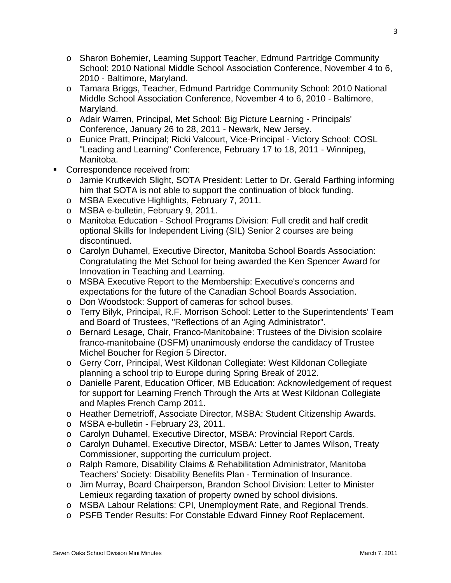- o Sharon Bohemier, Learning Support Teacher, Edmund Partridge Community School: 2010 National Middle School Association Conference, November 4 to 6, 2010 - Baltimore, Maryland.
- o Tamara Briggs, Teacher, Edmund Partridge Community School: 2010 National Middle School Association Conference, November 4 to 6, 2010 - Baltimore, Maryland.
- o Adair Warren, Principal, Met School: Big Picture Learning Principals' Conference, January 26 to 28, 2011 - Newark, New Jersey.
- o Eunice Pratt, Principal; Ricki Valcourt, Vice-Principal Victory School: COSL "Leading and Learning" Conference, February 17 to 18, 2011 - Winnipeg, Manitoba.
- Correspondence received from:
	- o Jamie Krutkevich Slight, SOTA President: Letter to Dr. Gerald Farthing informing him that SOTA is not able to support the continuation of block funding.
	- o MSBA Executive Highlights, February 7, 2011.
	- o MSBA e-bulletin, February 9, 2011.
	- o Manitoba Education School Programs Division: Full credit and half credit optional Skills for Independent Living (SIL) Senior 2 courses are being discontinued.
	- o Carolyn Duhamel, Executive Director, Manitoba School Boards Association: Congratulating the Met School for being awarded the Ken Spencer Award for Innovation in Teaching and Learning.
	- o MSBA Executive Report to the Membership: Executive's concerns and expectations for the future of the Canadian School Boards Association.
	- o Don Woodstock: Support of cameras for school buses.
	- o Terry Bilyk, Principal, R.F. Morrison School: Letter to the Superintendents' Team and Board of Trustees, "Reflections of an Aging Administrator".
	- o Bernard Lesage, Chair, Franco-Manitobaine: Trustees of the Division scolaire franco-manitobaine (DSFM) unanimously endorse the candidacy of Trustee Michel Boucher for Region 5 Director.
	- o Gerry Corr, Principal, West Kildonan Collegiate: West Kildonan Collegiate planning a school trip to Europe during Spring Break of 2012.
	- o Danielle Parent, Education Officer, MB Education: Acknowledgement of request for support for Learning French Through the Arts at West Kildonan Collegiate and Maples French Camp 2011.
	- o Heather Demetrioff, Associate Director, MSBA: Student Citizenship Awards.
	- o MSBA e-bulletin February 23, 2011.
	- o Carolyn Duhamel, Executive Director, MSBA: Provincial Report Cards.
	- o Carolyn Duhamel, Executive Director, MSBA: Letter to James Wilson, Treaty Commissioner, supporting the curriculum project.
	- o Ralph Ramore, Disability Claims & Rehabilitation Administrator, Manitoba Teachers' Society: Disability Benefits Plan - Termination of Insurance.
	- o Jim Murray, Board Chairperson, Brandon School Division: Letter to Minister Lemieux regarding taxation of property owned by school divisions.
	- o MSBA Labour Relations: CPI, Unemployment Rate, and Regional Trends.
	- o PSFB Tender Results: For Constable Edward Finney Roof Replacement.